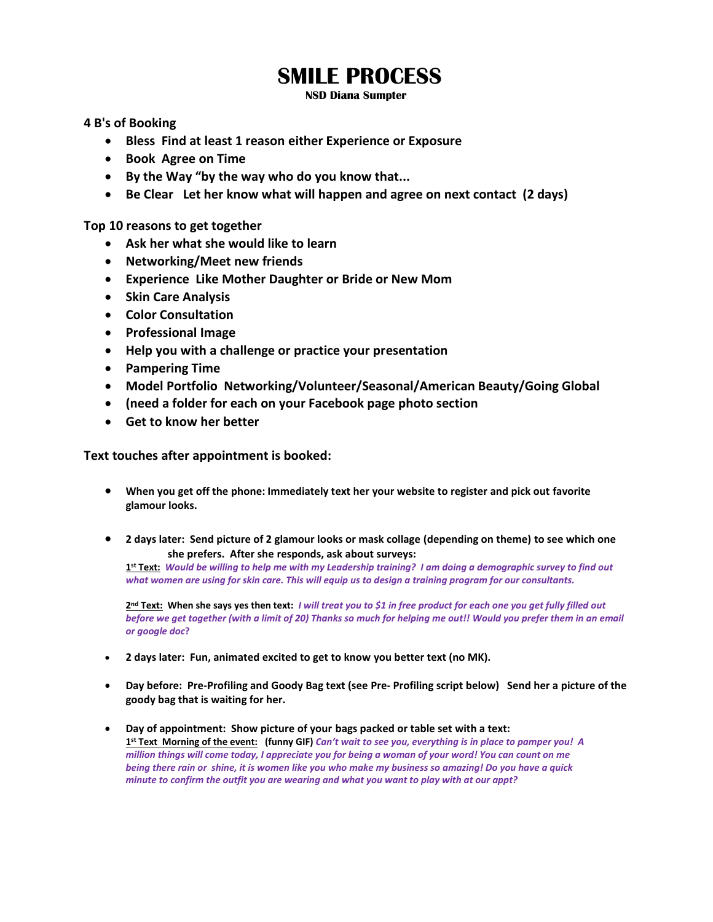# **SMILE PROCESS**

**NSD Diana Sumpter**

**4 B's of Booking**

- **Bless Find at least 1 reason either Experience or Exposure**
- **Book Agree on Time**
- **By the Way "by the way who do you know that...**
- **Be Clear Let her know what will happen and agree on next contact (2 days)**

**Top 10 reasons to get together**

- **Ask her what she would like to learn**
- **Networking/Meet new friends**
- **Experience Like Mother Daughter or Bride or New Mom**
- **Skin Care Analysis**
- **Color Consultation**
- **Professional Image**
- **Help you with a challenge or practice your presentation**
- **Pampering Time**
- **Model Portfolio Networking/Volunteer/Seasonal/American Beauty/Going Global**
- **(need a folder for each on your Facebook page photo section**
- **Get to know her better**

**Text touches after appointment is booked:**

- **When you get off the phone: Immediately text her your website to register and pick out favorite glamour looks.**
- **2 days later: Send picture of 2 glamour looks or mask collage (depending on theme) to see which one she prefers. After she responds, ask about surveys:**

**1 st Text:** *Would be willing to help me with my Leadership training? I am doing a demographic survey to find out what women are using for skin care. This will equip us to design a training program for our consultants.* 

**2 nd Text: When she says yes then text:** *I will treat you to \$1 in free product for each one you get fully filled out before we get together (with a limit of 20) Thanks so much for helping me out!! Would you prefer them in an email or google doc***?**

- **2 days later: Fun, animated excited to get to know you better text (no MK).**
- **Day before: Pre-Profiling and Goody Bag text (see Pre- Profiling script below) Send her a picture of the goody bag that is waiting for her.**
- **Day of appointment: Show picture of your bags packed or table set with a text: 1 st Text Morning of the event: (funny GIF)** *Can't wait to see you, everything is in place to pamper you! A million things will come today, I appreciate you for being a woman of your word! You can count on me being there rain or shine, it is women like you who make my business so amazing! Do you have a quick minute to confirm the outfit you are wearing and what you want to play with at our appt?*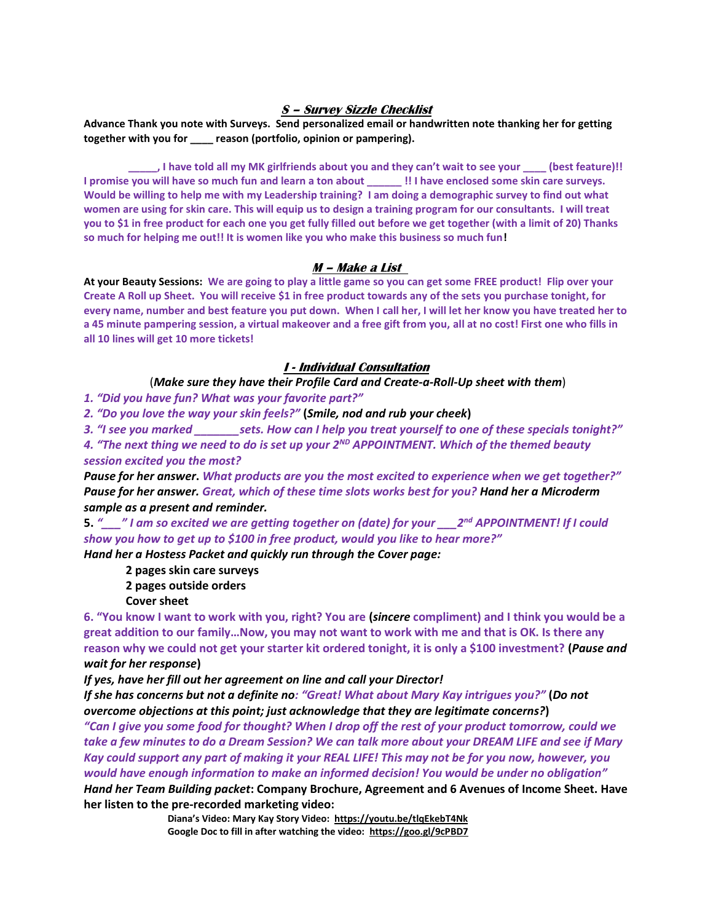#### **S – Survey Sizzle Checklist**

**Advance Thank you note with Surveys. Send personalized email or handwritten note thanking her for getting together with you for \_\_\_\_ reason (portfolio, opinion or pampering).** 

**\_\_\_\_\_, I have told all my MK girlfriends about you and they can't wait to see your \_\_\_\_ (best feature)!! I promise you will have so much fun and learn a ton about \_\_\_\_\_\_ !! I have enclosed some skin care surveys. Would be willing to help me with my Leadership training? I am doing a demographic survey to find out what women are using for skin care. This will equip us to design a training program for our consultants. I will treat you to \$1 in free product for each one you get fully filled out before we get together (with a limit of 20) Thanks so much for helping me out!! It is women like you who make this business so much fun!**

#### **M – Make a List**

**At your Beauty Sessions: We are going to play a little game so you can get some FREE product! Flip over your Create A Roll up Sheet. You will receive \$1 in free product towards any of the sets you purchase tonight, for every name, number and best feature you put down. When I call her, I will let her know you have treated her to a 45 minute pampering session, a virtual makeover and a free gift from you, all at no cost! First one who fills in all 10 lines will get 10 more tickets!** 

#### **I - Individual Consultation**

# (*Make sure they have their Profile Card and Create-a-Roll-Up sheet with them*)

*1. "Did you have fun? What was your favorite part?"*

*2. "Do you love the way your skin feels?"* **(***Smile, nod and rub your cheek***)**

*3. "I see you marked \_\_\_\_\_\_\_sets. How can I help you treat yourself to one of these specials tonight?"*

*4. "The next thing we need to do is set up your 2ND APPOINTMENT. Which of the themed beauty session excited you the most?* 

*Pause for her answer***.** *What products are you the most excited to experience when we get together?" Pause for her answer. Great, which of these time slots works best for you? Hand her a Microderm sample as a present and reminder.*

**5.** *"\_\_\_" I am so excited we are getting together on (date) for your \_\_\_2nd APPOINTMENT! If I could show you how to get up to \$100 in free product, would you like to hear more?"* 

*Hand her a Hostess Packet and quickly run through the Cover page:* 

**2 pages skin care surveys** 

**2 pages outside orders** 

**Cover sheet**

**6. "You know I want to work with you, right? You are (***sincere* **compliment) and I think you would be a great addition to our family…Now, you may not want to work with me and that is OK. Is there any reason why we could not get your starter kit ordered tonight, it is only a \$100 investment? (***Pause and wait for her response***)** 

*If yes, have her fill out her agreement on line and call your Director!*

*If she has concerns but not a definite no: "Great! What about Mary Kay intrigues you?"* **(***Do not overcome objections at this point; just acknowledge that they are legitimate concerns?***)**

*"Can I give you some food for thought? When I drop off the rest of your product tomorrow, could we take a few minutes to do a Dream Session? We can talk more about your DREAM LIFE and see if Mary Kay could support any part of making it your REAL LIFE! This may not be for you now, however, you would have enough information to make an informed decision! You would be under no obligation"* 

*Hand her Team Building packet***: Company Brochure, Agreement and 6 Avenues of Income Sheet. Have her listen to the pre-recorded marketing video:** 

> **Diana's Video: Mary Kay Story Video:<https://youtu.be/tlqEkebT4Nk> Google Doc to fill in after watching the video:<https://goo.gl/9cPBD7>**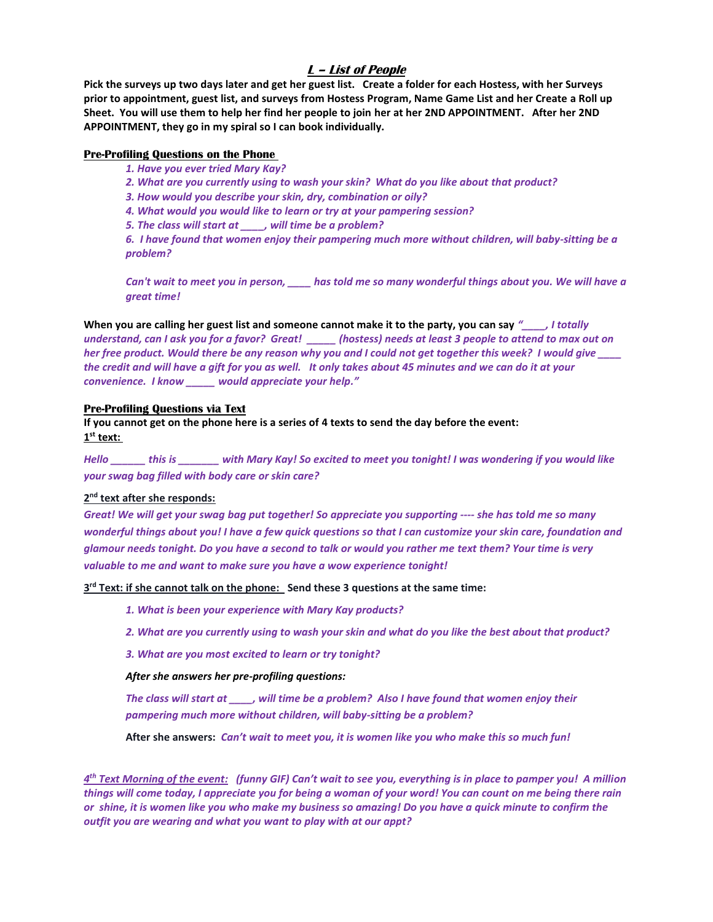### **L – List of People**

**Pick the surveys up two days later and get her guest list. Create a folder for each Hostess, with her Surveys prior to appointment, guest list, and surveys from Hostess Program, Name Game List and her Create a Roll up Sheet. You will use them to help her find her people to join her at her 2ND APPOINTMENT. After her 2ND APPOINTMENT, they go in my spiral so I can book individually.** 

#### **Pre-Profiling Questions on the Phone**

*1. Have you ever tried Mary Kay?*

*2. What are you currently using to wash your skin? What do you like about that product?*

*3. How would you describe your skin, dry, combination or oily?*

*4. What would you would like to learn or try at your pampering session?*

*5. The class will start at \_\_\_\_, will time be a problem?* 

*6. I have found that women enjoy their pampering much more without children, will baby-sitting be a problem?* 

*Can't wait to meet you in person, \_\_\_\_ has told me so many wonderful things about you. We will have a great time!*

**When you are calling her guest list and someone cannot make it to the party, you can say** *"\_\_\_\_, I totally understand, can I ask you for a favor? Great! \_\_\_\_\_ (hostess) needs at least 3 people to attend to max out on her free product. Would there be any reason why you and I could not get together this week? I would give \_\_\_\_ the credit and will have a gift for you as well. It only takes about 45 minutes and we can do it at your convenience. I know \_\_\_\_\_ would appreciate your help."* 

#### **Pre-Profiling Questions via Text**

**If you cannot get on the phone here is a series of 4 texts to send the day before the event: 1 st text:** 

*Hello \_\_\_\_\_\_ this is \_\_\_\_\_\_\_ with Mary Kay! So excited to meet you tonight! I was wondering if you would like your swag bag filled with body care or skin care?*

#### **2 nd text after she responds:**

*Great! We will get your swag bag put together! So appreciate you supporting ---- she has told me so many wonderful things about you! I have a few quick questions so that I can customize your skin care, foundation and glamour needs tonight. Do you have a second to talk or would you rather me text them? Your time is very valuable to me and want to make sure you have a wow experience tonight!*

**3 rd Text: if she cannot talk on the phone: Send these 3 questions at the same time:** 

*1. What is been your experience with Mary Kay products?*

*2. What are you currently using to wash your skin and what do you like the best about that product?*

*3. What are you most excited to learn or try tonight?*

#### *After she answers her pre-profiling questions:*

*The class will start at \_\_\_\_, will time be a problem? Also I have found that women enjoy their pampering much more without children, will baby-sitting be a problem?* 

**After she answers:** *Can't wait to meet you, it is women like you who make this so much fun!* 

*4 th Text Morning of the event: (funny GIF) Can't wait to see you, everything is in place to pamper you! A million things will come today, I appreciate you for being a woman of your word! You can count on me being there rain or shine, it is women like you who make my business so amazing! Do you have a quick minute to confirm the outfit you are wearing and what you want to play with at our appt?*